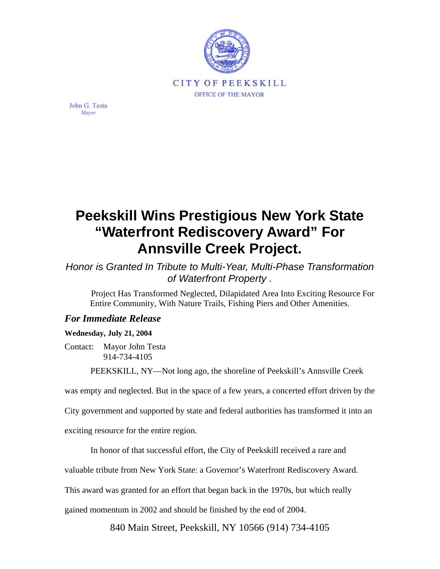

John G. Testa Mayor

## **Peekskill Wins Prestigious New York State "Waterfront Rediscovery Award" For Annsville Creek Project.**

*Honor is Granted In Tribute to Multi-Year, Multi-Phase Transformation of Waterfront Property .*

Project Has Transformed Neglected, Dilapidated Area Into Exciting Resource For Entire Community, With Nature Trails, Fishing Piers and Other Amenities.

## *For Immediate Release*

## **Wednesday, July 21, 2004**

Contact: Mayor John Testa 914-734-4105

PEEKSKILL, NY—Not long ago, the shoreline of Peekskill's Annsville Creek

was empty and neglected. But in the space of a few years, a concerted effort driven by the

City government and supported by state and federal authorities has transformed it into an

exciting resource for the entire region.

In honor of that successful effort, the City of Peekskill received a rare and

valuable tribute from New York State: a Governor's Waterfront Rediscovery Award.

This award was granted for an effort that began back in the 1970s, but which really

gained momentum in 2002 and should be finished by the end of 2004.

840 Main Street, Peekskill, NY 10566 (914) 734-4105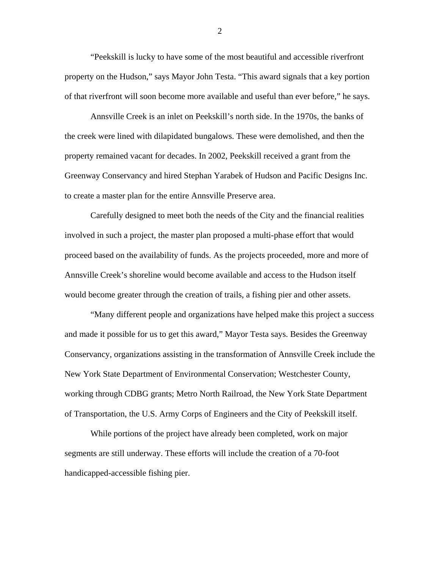"Peekskill is lucky to have some of the most beautiful and accessible riverfront property on the Hudson," says Mayor John Testa. "This award signals that a key portion of that riverfront will soon become more available and useful than ever before," he says.

Annsville Creek is an inlet on Peekskill's north side. In the 1970s, the banks of the creek were lined with dilapidated bungalows. These were demolished, and then the property remained vacant for decades. In 2002, Peekskill received a grant from the Greenway Conservancy and hired Stephan Yarabek of Hudson and Pacific Designs Inc. to create a master plan for the entire Annsville Preserve area.

Carefully designed to meet both the needs of the City and the financial realities involved in such a project, the master plan proposed a multi-phase effort that would proceed based on the availability of funds. As the projects proceeded, more and more of Annsville Creek's shoreline would become available and access to the Hudson itself would become greater through the creation of trails, a fishing pier and other assets.

"Many different people and organizations have helped make this project a success and made it possible for us to get this award," Mayor Testa says. Besides the Greenway Conservancy, organizations assisting in the transformation of Annsville Creek include the New York State Department of Environmental Conservation; Westchester County, working through CDBG grants; Metro North Railroad, the New York State Department of Transportation, the U.S. Army Corps of Engineers and the City of Peekskill itself.

While portions of the project have already been completed, work on major segments are still underway. These efforts will include the creation of a 70-foot handicapped-accessible fishing pier.

2